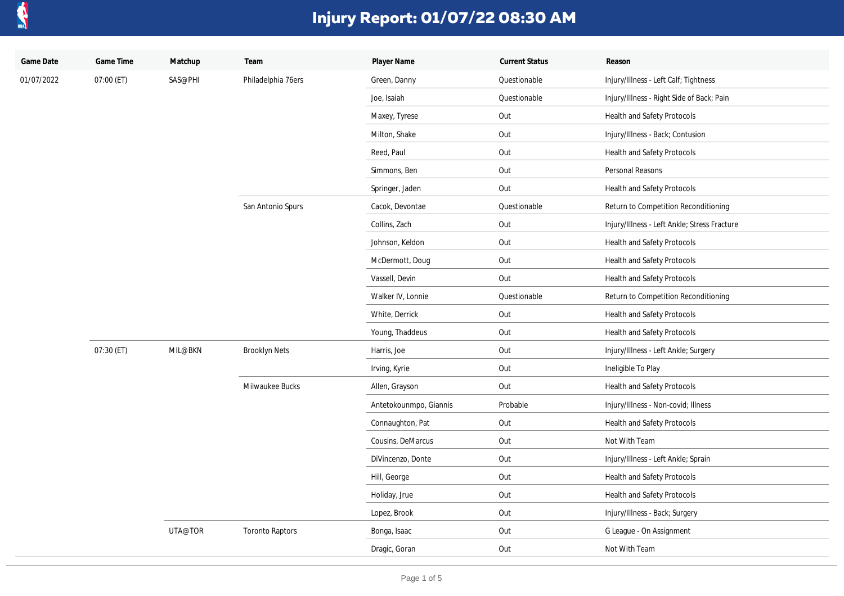

| Game Date  | Game Time  | Matchup | Team                   | Player Name            | <b>Current Status</b> | Reason                                       |
|------------|------------|---------|------------------------|------------------------|-----------------------|----------------------------------------------|
| 01/07/2022 | 07:00 (ET) | SAS@PHI | Philadelphia 76ers     | Green, Danny           | Questionable          | Injury/Illness - Left Calf; Tightness        |
|            |            |         |                        | Joe, Isaiah            | Questionable          | Injury/Illness - Right Side of Back; Pain    |
|            |            |         |                        | Maxey, Tyrese          | Out                   | Health and Safety Protocols                  |
|            |            |         |                        | Milton, Shake          | Out                   | Injury/Illness - Back; Contusion             |
|            |            |         |                        | Reed, Paul             | Out                   | Health and Safety Protocols                  |
|            |            |         |                        | Simmons, Ben           | Out                   | Personal Reasons                             |
|            |            |         |                        | Springer, Jaden        | Out                   | Health and Safety Protocols                  |
|            |            |         | San Antonio Spurs      | Cacok, Devontae        | Questionable          | Return to Competition Reconditioning         |
|            |            |         |                        | Collins, Zach          | Out                   | Injury/Illness - Left Ankle; Stress Fracture |
|            |            |         |                        | Johnson, Keldon        | Out                   | Health and Safety Protocols                  |
|            |            |         |                        | McDermott, Doug        | Out                   | Health and Safety Protocols                  |
|            |            |         |                        | Vassell, Devin         | Out                   | Health and Safety Protocols                  |
|            |            |         |                        | Walker IV, Lonnie      | Questionable          | Return to Competition Reconditioning         |
|            |            |         |                        | White, Derrick         | Out                   | Health and Safety Protocols                  |
|            |            |         |                        | Young, Thaddeus        | Out                   | Health and Safety Protocols                  |
|            | 07:30 (ET) | MIL@BKN | <b>Brooklyn Nets</b>   | Harris, Joe            | Out                   | Injury/Illness - Left Ankle; Surgery         |
|            |            |         |                        | Irving, Kyrie          | Out                   | Ineligible To Play                           |
|            |            |         | Milwaukee Bucks        | Allen, Grayson         | Out                   | Health and Safety Protocols                  |
|            |            |         |                        | Antetokounmpo, Giannis | Probable              | Injury/Illness - Non-covid; Illness          |
|            |            |         |                        | Connaughton, Pat       | Out                   | Health and Safety Protocols                  |
|            |            |         |                        | Cousins, DeMarcus      | Out                   | Not With Team                                |
|            |            |         |                        | DiVincenzo, Donte      | Out                   | Injury/Illness - Left Ankle; Sprain          |
|            |            |         |                        | Hill, George           | Out                   | Health and Safety Protocols                  |
|            |            |         |                        | Holiday, Jrue          | Out                   | Health and Safety Protocols                  |
|            |            |         |                        | Lopez, Brook           | Out                   | Injury/Illness - Back; Surgery               |
|            |            | UTA@TOR | <b>Toronto Raptors</b> | Bonga, Isaac           | Out                   | G League - On Assignment                     |
|            |            |         |                        | Dragic, Goran          | Out                   | Not With Team                                |
|            |            |         |                        |                        |                       |                                              |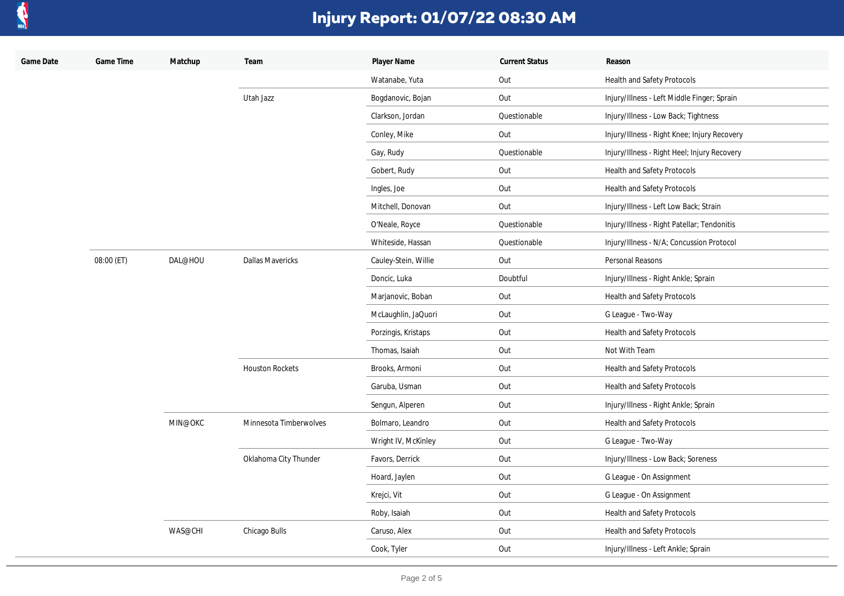

| Game Date | Game Time  | Matchup | Team                    | Player Name          | <b>Current Status</b> | Reason                                       |
|-----------|------------|---------|-------------------------|----------------------|-----------------------|----------------------------------------------|
|           |            |         |                         | Watanabe, Yuta       | Out                   | Health and Safety Protocols                  |
|           |            |         | Utah Jazz               | Bogdanovic, Bojan    | Out                   | Injury/Illness - Left Middle Finger; Sprain  |
|           |            |         |                         | Clarkson, Jordan     | Questionable          | Injury/Illness - Low Back; Tightness         |
|           |            |         |                         | Conley, Mike         | Out                   | Injury/Illness - Right Knee; Injury Recovery |
|           |            |         |                         | Gay, Rudy            | Questionable          | Injury/Illness - Right Heel; Injury Recovery |
|           |            |         |                         | Gobert, Rudy         | Out                   | Health and Safety Protocols                  |
|           |            |         |                         | Ingles, Joe          | Out                   | Health and Safety Protocols                  |
|           |            |         |                         | Mitchell, Donovan    | Out                   | Injury/Illness - Left Low Back; Strain       |
|           |            |         |                         | O'Neale, Royce       | Questionable          | Injury/Illness - Right Patellar; Tendonitis  |
|           |            |         |                         | Whiteside, Hassan    | Questionable          | Injury/Illness - N/A; Concussion Protocol    |
|           | 08:00 (ET) | DAL@HOU | <b>Dallas Mavericks</b> | Cauley-Stein, Willie | Out                   | Personal Reasons                             |
|           |            |         |                         | Doncic, Luka         | Doubtful              | Injury/Illness - Right Ankle; Sprain         |
|           |            |         |                         | Marjanovic, Boban    | Out                   | Health and Safety Protocols                  |
|           |            |         |                         | McLaughlin, JaQuori  | Out                   | G League - Two-Way                           |
|           |            |         |                         | Porzingis, Kristaps  | Out                   | Health and Safety Protocols                  |
|           |            |         |                         | Thomas, Isaiah       | Out                   | Not With Team                                |
|           |            |         | <b>Houston Rockets</b>  | Brooks, Armoni       | Out                   | Health and Safety Protocols                  |
|           |            |         |                         | Garuba, Usman        | Out                   | Health and Safety Protocols                  |
|           |            |         |                         | Sengun, Alperen      | Out                   | Injury/Illness - Right Ankle; Sprain         |
|           |            | MIN@OKC | Minnesota Timberwolves  | Bolmaro, Leandro     | Out                   | Health and Safety Protocols                  |
|           |            |         |                         | Wright IV, McKinley  | Out                   | G League - Two-Way                           |
|           |            |         | Oklahoma City Thunder   | Favors, Derrick      | Out                   | Injury/Illness - Low Back; Soreness          |
|           |            |         |                         | Hoard, Jaylen        | Out                   | G League - On Assignment                     |
|           |            |         |                         | Krejci, Vit          | Out                   | G League - On Assignment                     |
|           |            |         |                         | Roby, Isaiah         | Out                   | Health and Safety Protocols                  |
|           |            | WAS@CHI | Chicago Bulls           | Caruso, Alex         | Out                   | Health and Safety Protocols                  |
|           |            |         |                         | Cook, Tyler          | Out                   | Injury/Illness - Left Ankle; Sprain          |
|           |            |         |                         |                      |                       |                                              |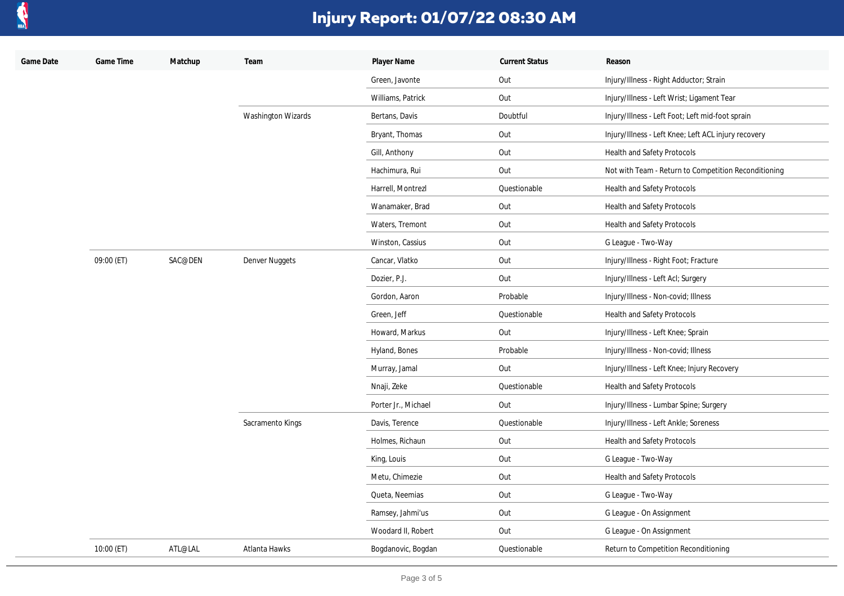

| Game Date | Game Time  | Matchup | Team                      | Player Name         | <b>Current Status</b> | Reason                                               |
|-----------|------------|---------|---------------------------|---------------------|-----------------------|------------------------------------------------------|
|           |            |         |                           | Green, Javonte      | Out                   | Injury/Illness - Right Adductor; Strain              |
|           |            |         |                           | Williams, Patrick   | Out                   | Injury/Illness - Left Wrist; Ligament Tear           |
|           |            |         | <b>Washington Wizards</b> | Bertans, Davis      | Doubtful              | Injury/Illness - Left Foot; Left mid-foot sprain     |
|           |            |         |                           | Bryant, Thomas      | Out                   | Injury/Illness - Left Knee; Left ACL injury recovery |
|           |            |         |                           | Gill, Anthony       | Out                   | Health and Safety Protocols                          |
|           |            |         |                           | Hachimura, Rui      | Out                   | Not with Team - Return to Competition Reconditioning |
|           |            |         |                           | Harrell, Montrezl   | Questionable          | <b>Health and Safety Protocols</b>                   |
|           |            |         |                           | Wanamaker, Brad     | Out                   | Health and Safety Protocols                          |
|           |            |         |                           | Waters, Tremont     | Out                   | <b>Health and Safety Protocols</b>                   |
|           |            |         |                           | Winston, Cassius    | Out                   | G League - Two-Way                                   |
|           | 09:00 (ET) | SAC@DEN | <b>Denver Nuggets</b>     | Cancar, Vlatko      | Out                   | Injury/Illness - Right Foot; Fracture                |
|           |            |         |                           | Dozier, P.J.        | Out                   | Injury/Illness - Left Acl; Surgery                   |
|           |            |         |                           | Gordon, Aaron       | Probable              | Injury/Illness - Non-covid; Illness                  |
|           |            |         |                           | Green, Jeff         | Questionable          | Health and Safety Protocols                          |
|           |            |         |                           | Howard, Markus      | Out                   | Injury/Illness - Left Knee; Sprain                   |
|           |            |         |                           | Hyland, Bones       | Probable              | Injury/Illness - Non-covid; Illness                  |
|           |            |         |                           | Murray, Jamal       | Out                   | Injury/Illness - Left Knee; Injury Recovery          |
|           |            |         |                           | Nnaji, Zeke         | Questionable          | Health and Safety Protocols                          |
|           |            |         |                           | Porter Jr., Michael | Out                   | Injury/Illness - Lumbar Spine; Surgery               |
|           |            |         | Sacramento Kings          | Davis, Terence      | Questionable          | Injury/Illness - Left Ankle; Soreness                |
|           |            |         |                           | Holmes, Richaun     | Out                   | Health and Safety Protocols                          |
|           |            |         |                           | King, Louis         | Out                   | G League - Two-Way                                   |
|           |            |         |                           | Metu, Chimezie      | Out                   | Health and Safety Protocols                          |
|           |            |         |                           | Queta, Neemias      | Out                   | G League - Two-Way                                   |
|           |            |         |                           | Ramsey, Jahmi'us    | Out                   | G League - On Assignment                             |
|           |            |         |                           | Woodard II, Robert  | Out                   | G League - On Assignment                             |
|           | 10:00 (ET) | ATL@LAL | Atlanta Hawks             | Bogdanovic, Bogdan  | Questionable          | Return to Competition Reconditioning                 |
|           |            |         |                           |                     |                       |                                                      |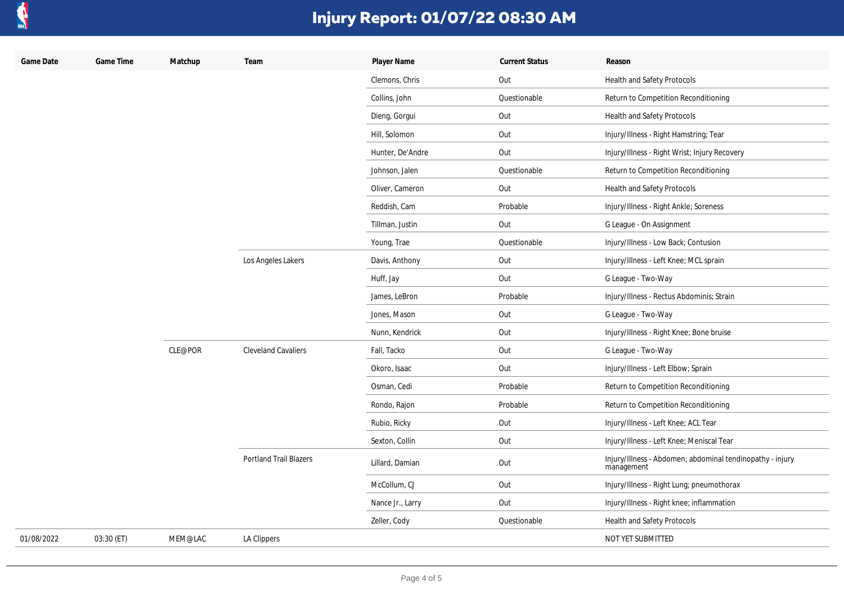

| Game Date  | Game Time  | Matchup | Team                          | Player Name      | <b>Current Status</b> | Reason                                                                  |
|------------|------------|---------|-------------------------------|------------------|-----------------------|-------------------------------------------------------------------------|
|            |            |         |                               | Clemons, Chris   | Out                   | Health and Safety Protocols                                             |
|            |            |         |                               | Collins, John    | Questionable          | Return to Competition Reconditioning                                    |
|            |            |         |                               | Dieng, Gorgui    | Out                   | Health and Safety Protocols                                             |
|            |            |         |                               | Hill, Solomon    | Out                   | Injury/Illness - Right Hamstring; Tear                                  |
|            |            |         |                               | Hunter, De'Andre | Out                   | Injury/Illness - Right Wrist; Injury Recovery                           |
|            |            |         |                               | Johnson, Jalen   | Questionable          | Return to Competition Reconditioning                                    |
|            |            |         |                               | Oliver, Cameron  | Out                   | Health and Safety Protocols                                             |
|            |            |         |                               | Reddish, Cam     | Probable              | Injury/Illness - Right Ankle; Soreness                                  |
|            |            |         |                               | Tillman, Justin  | Out                   | G League - On Assignment                                                |
|            |            |         |                               | Young, Trae      | Questionable          | Injury/Illness - Low Back; Contusion                                    |
|            |            |         | Los Angeles Lakers            | Davis, Anthony   | Out                   | Injury/Illness - Left Knee; MCL sprain                                  |
|            |            |         |                               | Huff, Jay        | Out                   | G League - Two-Way                                                      |
|            |            |         |                               | James, LeBron    | Probable              | Injury/Illness - Rectus Abdominis; Strain                               |
|            |            |         |                               | Jones, Mason     | Out                   | G League - Two-Way                                                      |
|            |            |         |                               | Nunn, Kendrick   | Out                   | Injury/Illness - Right Knee; Bone bruise                                |
|            |            | CLE@POR | <b>Cleveland Cavaliers</b>    | Fall, Tacko      | Out                   | G League - Two-Way                                                      |
|            |            |         |                               | Okoro, Isaac     | Out                   | Injury/Illness - Left Elbow; Sprain                                     |
|            |            |         |                               | Osman, Cedi      | Probable              | Return to Competition Reconditioning                                    |
|            |            |         |                               | Rondo, Rajon     | Probable              | Return to Competition Reconditioning                                    |
|            |            |         |                               | Rubio, Ricky     | Out                   | Injury/Illness - Left Knee; ACL Tear                                    |
|            |            |         |                               | Sexton, Collin   | Out                   | Injury/Illness - Left Knee; Meniscal Tear                               |
|            |            |         | <b>Portland Trail Blazers</b> | Lillard, Damian  | Out                   | Injury/Illness - Abdomen; abdominal tendinopathy - injury<br>management |
|            |            |         |                               | McCollum, CJ     | Out                   | Injury/Illness - Right Lung; pneumothorax                               |
|            |            |         |                               | Nance Jr., Larry | Out                   | Injury/Illness - Right knee; inflammation                               |
|            |            |         |                               | Zeller, Cody     | Questionable          | Health and Safety Protocols                                             |
| 01/08/2022 | 03:30 (ET) | MEM@LAC | LA Clippers                   |                  |                       | NOT YET SUBMITTED                                                       |